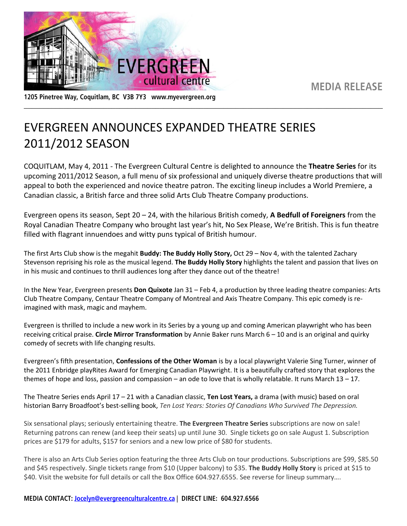**MEDIA RELEASE** 



1205 Pinetree Way, Coquitlam, BC V3B 7Y3 www.myevergreen.org

## EVERGREEN ANNOUNCES EXPANDED THEATRE SERIES 2011/2012 SEASON

COQUITLAM, May 4, 2011 - The Evergreen Cultural Centre is delighted to announce the **Theatre Series** for its upcoming 2011/2012 Season, a full menu of six professional and uniquely diverse theatre productions that will appeal to both the experienced and novice theatre patron. The exciting lineup includes a World Premiere, a Canadian classic, a British farce and three solid Arts Club Theatre Company productions.

\_\_\_\_\_\_\_\_\_\_\_\_\_\_\_\_\_\_\_\_\_\_\_\_\_\_\_\_\_\_\_\_\_\_\_\_\_\_\_\_\_\_\_\_\_\_\_\_\_\_\_\_\_\_\_\_\_\_\_\_\_\_\_\_\_\_\_\_\_\_\_\_\_\_\_\_\_\_\_\_\_\_\_\_\_\_\_\_\_\_

Evergreen opens its season, Sept 20 – 24, with the hilarious British comedy, **A Bedfull of Foreigners** from the Royal Canadian Theatre Company who brought last year's hit, No Sex Please, We're British. This is fun theatre filled with flagrant innuendoes and witty puns typical of British humour.

The first Arts Club show is the megahit **Buddy: The Buddy Holly Story,** Oct 29 – Nov 4, with the talented Zachary Stevenson reprising his role as the musical legend. **The Buddy Holly Story** highlights the talent and passion that lives on in his music and continues to thrill audiences long after they dance out of the theatre!

In the New Year, Evergreen presents **Don Quixote** Jan 31 – Feb 4, a production by three leading theatre companies: Arts Club Theatre Company, Centaur Theatre Company of Montreal and Axis Theatre Company. This epic comedy is reimagined with mask, magic and mayhem.

Evergreen is thrilled to include a new work in its Series by a young up and coming American playwright who has been receiving critical praise. **Circle Mirror Transformation** by Annie Baker runs March 6 – 10 and is an original and quirky comedy of secrets with life changing results.

Evergreen's fifth presentation, **Confessions of the Other Woman** is by a local playwright Valerie Sing Turner, winner of the 2011 Enbridge playRites Award for Emerging Canadian Playwright. It is a beautifully crafted story that explores the themes of hope and loss, passion and compassion – an ode to love that is wholly relatable. It runs March  $13 - 17$ .

The Theatre Series ends April 17 – 21 with a Canadian classic, **Ten Lost Years,** a drama (with music) based on oral historian Barry Broadfoot's best-selling book, *Ten Lost Years: Stories Of Canadians Who Survived The Depression.* 

Six sensational plays; seriously entertaining theatre. **The Evergreen Theatre Series** subscriptions are now on sale! Returning patrons can renew (and keep their seats) up until June 30. Single tickets go on sale August 1. Subscription prices are \$179 for adults, \$157 for seniors and a new low price of \$80 for students.

There is also an Arts Club Series option featuring the three Arts Club on tour productions. Subscriptions are \$99, \$85.50 and \$45 respectively. Single tickets range from \$10 (Upper balcony) to \$35. **The Buddy Holly Story** is priced at \$15 to \$40. Visit the website for full details or call the Box Office 604.927.6555. See reverse for lineup summary….